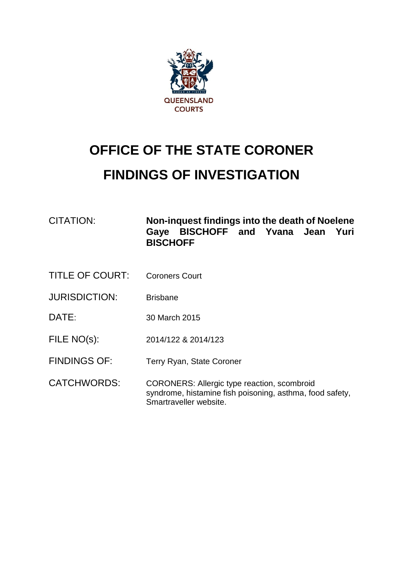

# **OFFICE OF THE STATE CORONER FINDINGS OF INVESTIGATION**

| CITATION: | Non-inguest findings into the death of Noelene       |  |  |  |  |
|-----------|------------------------------------------------------|--|--|--|--|
|           | Gaye BISCHOFF and Yvana Jean Yuri<br><b>BISCHOFF</b> |  |  |  |  |

- TITLE OF COURT: Coroners Court
- JURISDICTION: Brisbane
- DATE: 30 March 2015
- FILE NO(s): 2014/122 & 2014/123
- FINDINGS OF: Terry Ryan, State Coroner
- CATCHWORDS: CORONERS: Allergic type reaction, scombroid syndrome, histamine fish poisoning, asthma, food safety, Smartraveller website.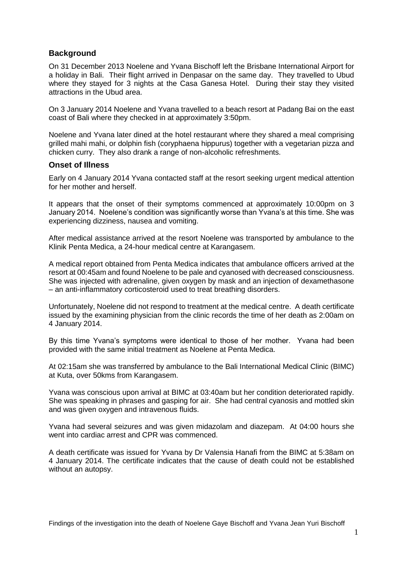## **Background**

On 31 December 2013 Noelene and Yvana Bischoff left the Brisbane International Airport for a holiday in Bali. Their flight arrived in Denpasar on the same day. They travelled to Ubud where they stayed for 3 nights at the Casa Ganesa Hotel. During their stay they visited attractions in the Ubud area.

On 3 January 2014 Noelene and Yvana travelled to a beach resort at Padang Bai on the east coast of Bali where they checked in at approximately 3:50pm.

Noelene and Yvana later dined at the hotel restaurant where they shared a meal comprising grilled mahi mahi, or dolphin fish (coryphaena hippurus) together with a vegetarian pizza and chicken curry. They also drank a range of non-alcoholic refreshments.

#### **Onset of Illness**

Early on 4 January 2014 Yvana contacted staff at the resort seeking urgent medical attention for her mother and herself.

It appears that the onset of their symptoms commenced at approximately 10:00pm on 3 January 2014. Noelene's condition was significantly worse than Yvana's at this time. She was experiencing dizziness, nausea and vomiting.

After medical assistance arrived at the resort Noelene was transported by ambulance to the Klinik Penta Medica, a 24-hour medical centre at Karangasem.

A medical report obtained from Penta Medica indicates that ambulance officers arrived at the resort at 00:45am and found Noelene to be pale and cyanosed with decreased consciousness. She was injected with adrenaline, given oxygen by mask and an injection of dexamethasone – an anti-inflammatory corticosteroid used to treat breathing disorders.

Unfortunately, Noelene did not respond to treatment at the medical centre. A death certificate issued by the examining physician from the clinic records the time of her death as 2:00am on 4 January 2014.

By this time Yvana's symptoms were identical to those of her mother. Yvana had been provided with the same initial treatment as Noelene at Penta Medica.

At 02:15am she was transferred by ambulance to the Bali International Medical Clinic (BIMC) at Kuta, over 50kms from Karangasem.

Yvana was conscious upon arrival at BIMC at 03:40am but her condition deteriorated rapidly. She was speaking in phrases and gasping for air. She had central cyanosis and mottled skin and was given oxygen and intravenous fluids.

Yvana had several seizures and was given midazolam and diazepam. At 04:00 hours she went into cardiac arrest and CPR was commenced.

A death certificate was issued for Yvana by Dr Valensia Hanafi from the BIMC at 5:38am on 4 January 2014. The certificate indicates that the cause of death could not be established without an autopsy.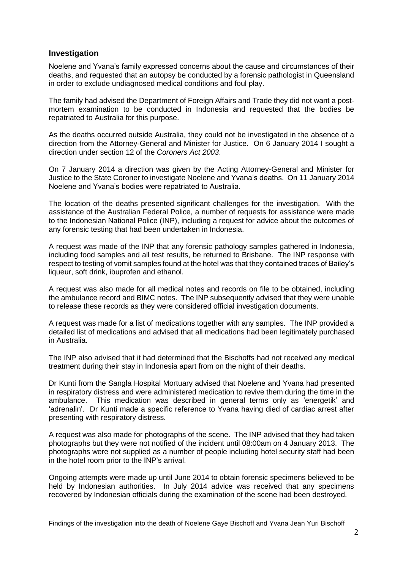### **Investigation**

Noelene and Yvana's family expressed concerns about the cause and circumstances of their deaths, and requested that an autopsy be conducted by a forensic pathologist in Queensland in order to exclude undiagnosed medical conditions and foul play.

The family had advised the Department of Foreign Affairs and Trade they did not want a postmortem examination to be conducted in Indonesia and requested that the bodies be repatriated to Australia for this purpose.

As the deaths occurred outside Australia, they could not be investigated in the absence of a direction from the Attorney-General and Minister for Justice. On 6 January 2014 I sought a direction under section 12 of the *Coroners Act 2003*.

On 7 January 2014 a direction was given by the Acting Attorney-General and Minister for Justice to the State Coroner to investigate Noelene and Yvana's deaths. On 11 January 2014 Noelene and Yvana's bodies were repatriated to Australia.

The location of the deaths presented significant challenges for the investigation. With the assistance of the Australian Federal Police, a number of requests for assistance were made to the Indonesian National Police (INP), including a request for advice about the outcomes of any forensic testing that had been undertaken in Indonesia.

A request was made of the INP that any forensic pathology samples gathered in Indonesia, including food samples and all test results, be returned to Brisbane. The INP response with respect to testing of vomit samples found at the hotel was that they contained traces of Bailey's liqueur, soft drink, ibuprofen and ethanol.

A request was also made for all medical notes and records on file to be obtained, including the ambulance record and BIMC notes. The INP subsequently advised that they were unable to release these records as they were considered official investigation documents.

A request was made for a list of medications together with any samples. The INP provided a detailed list of medications and advised that all medications had been legitimately purchased in Australia.

The INP also advised that it had determined that the Bischoffs had not received any medical treatment during their stay in Indonesia apart from on the night of their deaths.

Dr Kunti from the Sangla Hospital Mortuary advised that Noelene and Yvana had presented in respiratory distress and were administered medication to revive them during the time in the ambulance. This medication was described in general terms only as 'energetik' and 'adrenalin'. Dr Kunti made a specific reference to Yvana having died of cardiac arrest after presenting with respiratory distress.

A request was also made for photographs of the scene. The INP advised that they had taken photographs but they were not notified of the incident until 08:00am on 4 January 2013. The photographs were not supplied as a number of people including hotel security staff had been in the hotel room prior to the INP's arrival.

Ongoing attempts were made up until June 2014 to obtain forensic specimens believed to be held by Indonesian authorities. In July 2014 advice was received that any specimens recovered by Indonesian officials during the examination of the scene had been destroyed.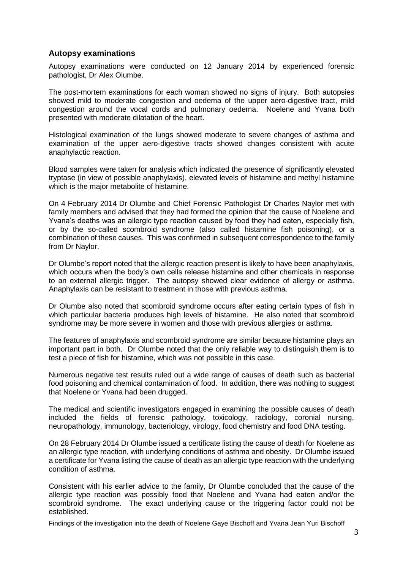## **Autopsy examinations**

Autopsy examinations were conducted on 12 January 2014 by experienced forensic pathologist, Dr Alex Olumbe.

The post-mortem examinations for each woman showed no signs of injury. Both autopsies showed mild to moderate congestion and oedema of the upper aero-digestive tract, mild congestion around the vocal cords and pulmonary oedema. Noelene and Yvana both presented with moderate dilatation of the heart.

Histological examination of the lungs showed moderate to severe changes of asthma and examination of the upper aero-digestive tracts showed changes consistent with acute anaphylactic reaction.

Blood samples were taken for analysis which indicated the presence of significantly elevated tryptase (in view of possible anaphylaxis), elevated levels of histamine and methyl histamine which is the major metabolite of histamine.

On 4 February 2014 Dr Olumbe and Chief Forensic Pathologist Dr Charles Naylor met with family members and advised that they had formed the opinion that the cause of Noelene and Yvana's deaths was an allergic type reaction caused by food they had eaten, especially fish, or by the so-called scombroid syndrome (also called histamine fish poisoning), or a combination of these causes. This was confirmed in subsequent correspondence to the family from Dr Naylor.

Dr Olumbe's report noted that the allergic reaction present is likely to have been anaphylaxis, which occurs when the body's own cells release histamine and other chemicals in response to an external allergic trigger. The autopsy showed clear evidence of allergy or asthma. Anaphylaxis can be resistant to treatment in those with previous asthma.

Dr Olumbe also noted that scombroid syndrome occurs after eating certain types of fish in which particular bacteria produces high levels of histamine. He also noted that scombroid syndrome may be more severe in women and those with previous allergies or asthma.

The features of anaphylaxis and scombroid syndrome are similar because histamine plays an important part in both. Dr Olumbe noted that the only reliable way to distinguish them is to test a piece of fish for histamine, which was not possible in this case.

Numerous negative test results ruled out a wide range of causes of death such as bacterial food poisoning and chemical contamination of food. In addition, there was nothing to suggest that Noelene or Yvana had been drugged.

The medical and scientific investigators engaged in examining the possible causes of death included the fields of forensic pathology, toxicology, radiology, coronial nursing, neuropathology, immunology, bacteriology, virology, food chemistry and food DNA testing.

On 28 February 2014 Dr Olumbe issued a certificate listing the cause of death for Noelene as an allergic type reaction, with underlying conditions of asthma and obesity. Dr Olumbe issued a certificate for Yvana listing the cause of death as an allergic type reaction with the underlying condition of asthma.

Consistent with his earlier advice to the family, Dr Olumbe concluded that the cause of the allergic type reaction was possibly food that Noelene and Yvana had eaten and/or the scombroid syndrome. The exact underlying cause or the triggering factor could not be established.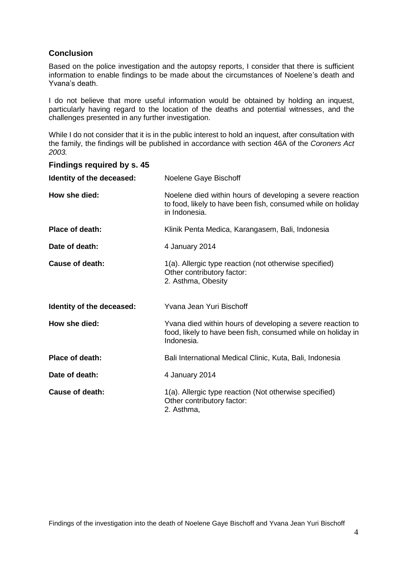# **Conclusion**

Based on the police investigation and the autopsy reports, I consider that there is sufficient information to enable findings to be made about the circumstances of Noelene's death and Yvana's death.

I do not believe that more useful information would be obtained by holding an inquest, particularly having regard to the location of the deaths and potential witnesses, and the challenges presented in any further investigation.

While I do not consider that it is in the public interest to hold an inquest, after consultation with the family, the findings will be published in accordance with section 46A of the *Coroners Act 2003.*

#### **Findings required by s. 45**

| Identity of the deceased: | Noelene Gaye Bischoff                                                                                                                      |  |
|---------------------------|--------------------------------------------------------------------------------------------------------------------------------------------|--|
| How she died:             | Noelene died within hours of developing a severe reaction<br>to food, likely to have been fish, consumed while on holiday<br>in Indonesia. |  |
| Place of death:           | Klinik Penta Medica, Karangasem, Bali, Indonesia                                                                                           |  |
| Date of death:            | 4 January 2014                                                                                                                             |  |
| Cause of death:           | 1(a). Allergic type reaction (not otherwise specified)<br>Other contributory factor:<br>2. Asthma, Obesity                                 |  |
| Identity of the deceased: | Yvana Jean Yuri Bischoff                                                                                                                   |  |
| How she died:             | Yvana died within hours of developing a severe reaction to<br>food, likely to have been fish, consumed while on holiday in<br>Indonesia.   |  |
| Place of death:           | Bali International Medical Clinic, Kuta, Bali, Indonesia                                                                                   |  |
| Date of death:            | 4 January 2014                                                                                                                             |  |
| <b>Cause of death:</b>    | 1(a). Allergic type reaction (Not otherwise specified)<br>Other contributory factor:<br>2. Asthma,                                         |  |